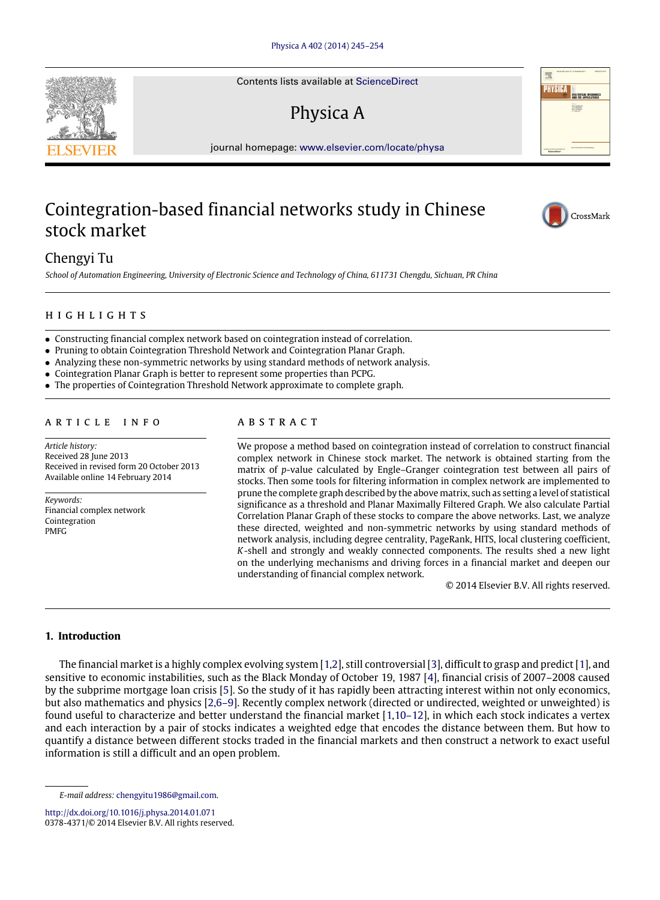Contents lists available at [ScienceDirect](http://www.elsevier.com/locate/physa)

# Physica A

journal homepage: [www.elsevier.com/locate/physa](http://www.elsevier.com/locate/physa)

# Cointegration-based financial networks study in Chinese stock market



*School of Automation Engineering, University of Electronic Science and Technology of China, 611731 Chengdu, Sichuan, PR China*

## h i g h l i g h t s

- Constructing financial complex network based on cointegration instead of correlation.
- Pruning to obtain Cointegration Threshold Network and Cointegration Planar Graph.
- Analyzing these non-symmetric networks by using standard methods of network analysis.
- Cointegration Planar Graph is better to represent some properties than PCPG.
- The properties of Cointegration Threshold Network approximate to complete graph.

#### a r t i c l e i n f o

*Article history:* Received 28 June 2013 Received in revised form 20 October 2013 Available online 14 February 2014

*Keywords:* Financial complex network Cointegration PMFG

### a b s t r a c t

We propose a method based on cointegration instead of correlation to construct financial complex network in Chinese stock market. The network is obtained starting from the matrix of *p*-value calculated by Engle–Granger cointegration test between all pairs of stocks. Then some tools for filtering information in complex network are implemented to prune the complete graph described by the above matrix, such as setting a level of statistical significance as a threshold and Planar Maximally Filtered Graph. We also calculate Partial Correlation Planar Graph of these stocks to compare the above networks. Last, we analyze these directed, weighted and non-symmetric networks by using standard methods of network analysis, including degree centrality, PageRank, HITS, local clustering coefficient, *K*-shell and strongly and weakly connected components. The results shed a new light on the underlying mechanisms and driving forces in a financial market and deepen our understanding of financial complex network.

© 2014 Elsevier B.V. All rights reserved.

### **1. Introduction**

The financial market is a highly complex evolving system [\[1](#page--1-0)[,2\]](#page--1-1), still controversial [\[3\]](#page--1-2), difficult to grasp and predict [\[1\]](#page--1-0), and sensitive to economic instabilities, such as the Black Monday of October 19, 1987 [\[4\]](#page--1-3), financial crisis of 2007–2008 caused by the subprime mortgage loan crisis [\[5\]](#page--1-4). So the study of it has rapidly been attracting interest within not only economics, but also mathematics and physics [\[2](#page--1-1)[,6–9\]](#page--1-5). Recently complex network (directed or undirected, weighted or unweighted) is found useful to characterize and better understand the financial market [\[1](#page--1-0)[,10–12\]](#page--1-6), in which each stock indicates a vertex and each interaction by a pair of stocks indicates a weighted edge that encodes the distance between them. But how to quantify a distance between different stocks traded in the financial markets and then construct a network to exact useful information is still a difficult and an open problem.

<http://dx.doi.org/10.1016/j.physa.2014.01.071> 0378-4371/© 2014 Elsevier B.V. All rights reserved.







*E-mail address:* [chengyitu1986@gmail.com.](mailto:chengyitu1986@gmail.com)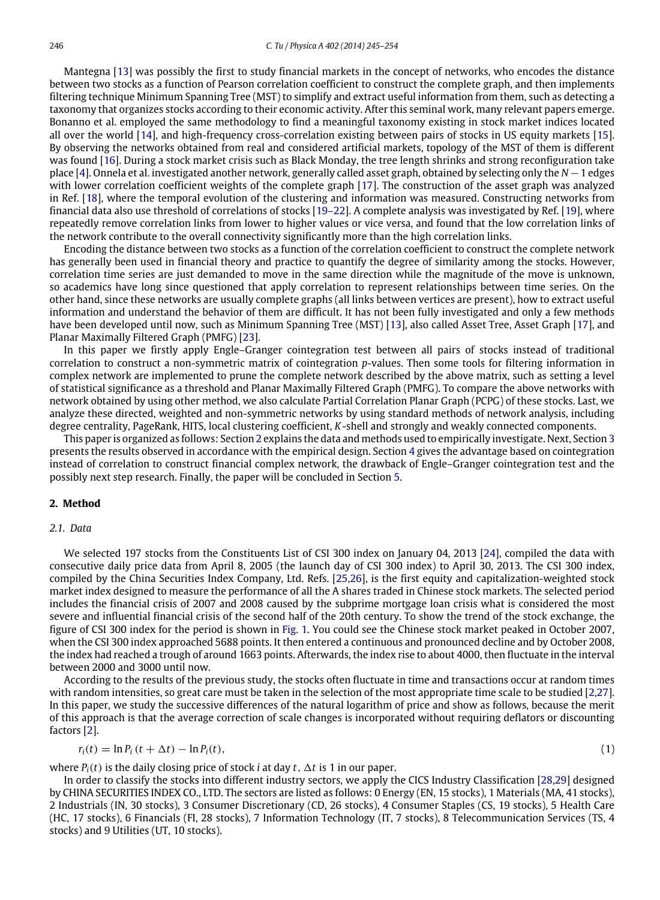Mantegna [\[13\]](#page--1-7) was possibly the first to study financial markets in the concept of networks, who encodes the distance between two stocks as a function of Pearson correlation coefficient to construct the complete graph, and then implements filtering technique Minimum Spanning Tree (MST) to simplify and extract useful information from them, such as detecting a taxonomy that organizes stocks according to their economic activity. After this seminal work, many relevant papers emerge. Bonanno et al. employed the same methodology to find a meaningful taxonomy existing in stock market indices located all over the world [\[14\]](#page--1-8), and high-frequency cross-correlation existing between pairs of stocks in US equity markets [\[15\]](#page--1-9). By observing the networks obtained from real and considered artificial markets, topology of the MST of them is different was found [\[16\]](#page--1-10). During a stock market crisis such as Black Monday, the tree length shrinks and strong reconfiguration take place [\[4\]](#page--1-3). Onnela et al. investigated another network, generally called asset graph, obtained by selecting only the *N* −1 edges with lower correlation coefficient weights of the complete graph [\[17\]](#page--1-11). The construction of the asset graph was analyzed in Ref. [\[18\]](#page--1-12), where the temporal evolution of the clustering and information was measured. Constructing networks from financial data also use threshold of correlations of stocks [\[19–22\]](#page--1-13). A complete analysis was investigated by Ref. [\[19\]](#page--1-13), where repeatedly remove correlation links from lower to higher values or vice versa, and found that the low correlation links of the network contribute to the overall connectivity significantly more than the high correlation links.

Encoding the distance between two stocks as a function of the correlation coefficient to construct the complete network has generally been used in financial theory and practice to quantify the degree of similarity among the stocks. However, correlation time series are just demanded to move in the same direction while the magnitude of the move is unknown, so academics have long since questioned that apply correlation to represent relationships between time series. On the other hand, since these networks are usually complete graphs (all links between vertices are present), how to extract useful information and understand the behavior of them are difficult. It has not been fully investigated and only a few methods have been developed until now, such as Minimum Spanning Tree (MST) [\[13\]](#page--1-7), also called Asset Tree, Asset Graph [\[17\]](#page--1-11), and Planar Maximally Filtered Graph (PMFG) [\[23\]](#page--1-14).

In this paper we firstly apply Engle–Granger cointegration test between all pairs of stocks instead of traditional correlation to construct a non-symmetric matrix of cointegration *p*-values. Then some tools for filtering information in complex network are implemented to prune the complete network described by the above matrix, such as setting a level of statistical significance as a threshold and Planar Maximally Filtered Graph (PMFG). To compare the above networks with network obtained by using other method, we also calculate Partial Correlation Planar Graph (PCPG) of these stocks. Last, we analyze these directed, weighted and non-symmetric networks by using standard methods of network analysis, including degree centrality, PageRank, HITS, local clustering coefficient, *K*-shell and strongly and weakly connected components.

This paper is organized as follows: Section [2](#page-1-0) explains the data and methods used to empirically investigate. Next, Section [3](#page--1-15) presents the results observed in accordance with the empirical design. Section [4](#page--1-16) gives the advantage based on cointegration instead of correlation to construct financial complex network, the drawback of Engle–Granger cointegration test and the possibly next step research. Finally, the paper will be concluded in Section [5.](#page--1-17)

#### <span id="page-1-0"></span>**2. Method**

#### *2.1. Data*

We selected 197 stocks from the Constituents List of CSI 300 index on January 04, 2013 [\[24\]](#page--1-18), compiled the data with consecutive daily price data from April 8, 2005 (the launch day of CSI 300 index) to April 30, 2013. The CSI 300 index, compiled by the China Securities Index Company, Ltd. Refs. [\[25,](#page--1-19)[26\]](#page--1-20), is the first equity and capitalization-weighted stock market index designed to measure the performance of all the A shares traded in Chinese stock markets. The selected period includes the financial crisis of 2007 and 2008 caused by the subprime mortgage loan crisis what is considered the most severe and influential financial crisis of the second half of the 20th century. To show the trend of the stock exchange, the figure of CSI 300 index for the period is shown in [Fig. 1.](#page--1-21) You could see the Chinese stock market peaked in October 2007, when the CSI 300 index approached 5688 points. It then entered a continuous and pronounced decline and by October 2008, the index had reached a trough of around 1663 points. Afterwards, the index rise to about 4000, then fluctuate in the interval between 2000 and 3000 until now.

According to the results of the previous study, the stocks often fluctuate in time and transactions occur at random times with random intensities, so great care must be taken in the selection of the most appropriate time scale to be studied [\[2,](#page--1-1)[27\]](#page--1-22). In this paper, we study the successive differences of the natural logarithm of price and show as follows, because the merit of this approach is that the average correction of scale changes is incorporated without requiring deflators or discounting factors [\[2\]](#page--1-1).

$$
r_i(t) = \ln P_i(t + \Delta t) - \ln P_i(t),\tag{1}
$$

where  $P_i(t)$  is the daily closing price of stock *i* at day *t*,  $\Delta t$  is 1 in our paper.

In order to classify the stocks into different industry sectors, we apply the CICS Industry Classification [\[28](#page--1-23)[,29\]](#page--1-24) designed by CHINA SECURITIES INDEX CO., LTD. The sectors are listed as follows: 0 Energy (EN, 15 stocks), 1 Materials (MA, 41 stocks), 2 Industrials (IN, 30 stocks), 3 Consumer Discretionary (CD, 26 stocks), 4 Consumer Staples (CS, 19 stocks), 5 Health Care (HC, 17 stocks), 6 Financials (FI, 28 stocks), 7 Information Technology (IT, 7 stocks), 8 Telecommunication Services (TS, 4 stocks) and 9 Utilities (UT, 10 stocks).